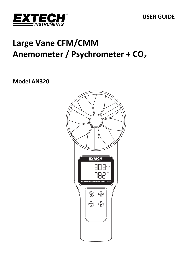

# **Large Vane CFM/CMM Anemometer / Psychrometer + CO2**

# **Model AN320**

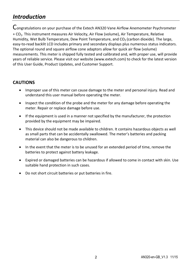# *Introduction*

Congratulations on your purchase of the Extech AN320 Vane Airflow Anemometer Psychrometer + CO2. This instrument measures Air Velocity, Air Flow (volume), Air Temperature, Relative Humidity, Wet Bulb Temperature, Dew Point Temperature, and  $CO<sub>2</sub>$  (carbon dioxide). The large, easy-to-read backlit LCD includes primary and secondary displays plus numerous status indicators. The optional round and square airflow cone adaptors allow for quick air flow (volume) measurements. This meter is shipped fully tested and calibrated and, with proper use, will provide years of reliable service. Please visit our website (www.extech.com) to check for the latest version of this User Guide, Product Updates, and Customer Support.

# **CAUTIONS**

- Improper use of this meter can cause damage to the meter and personal injury. Read and understand this user manual before operating the meter.
- Inspect the condition of the probe and the meter for any damage before operating the meter. Repair or replace damage before use.
- $\bullet$  If the equipment is used in a manner not specified by the manufacturer, the protection provided by the equipment may be impaired.
- This device should not be made available to children. It contains hazardous objects as well as small parts that can be accidentally swallowed. The meter's batteries and packing material can also be dangerous to children.
- In the event that the meter is to be unused for an extended period of time, remove the batteries to protect against battery leakage.
- Expired or damaged batteries can be hazardous if allowed to come in contact with skin. Use suitable hand protection in such cases.
- Do not short circuit batteries or put batteries in fire.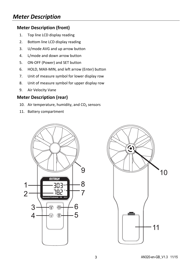# *Meter Description*

# **Meter Description (front)**

- 1. Top line LCD display reading
- 2. Bottom line LCD display reading
- 3. U/mode AVG and up arrow button
- 4. L/mode and down arrow button
- 5. ON‐OFF (Power) and SET button
- 6. HOLD, MAX‐MIN, and left arrow (Enter) button
- 7. Unit of measure symbol for lower display row
- 8. Unit of measure symbol for upper display row
- 9. Air Velocity Vane

# **Meter Description (rear)**

- 10. Air temperature, humidity, and  $CO<sub>2</sub>$  sensors
- 11. Battery compartment



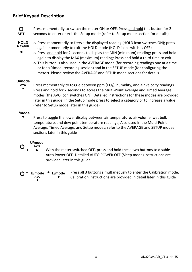# **Brief Keypad Description**



Press momentarily to switch the meter ON or OFF. Press and hold this button for 2 seconds to enter or exit the Setup mode (refer to Setup mode section for details).

- **HOLD MAX/MIN**
- o Press momentarily to freeze the displayed reading (HOLD icon switches ON); press again momentarily to exit the HOLD mode (HOLD icon switches OFF)
- $\circ$  Press and hold for 2 seconds to display the MIN (minimum) reading; press and hold again to display the MAX (maximum) reading; Press and hold a third time to exit
- $\circ$  This button is also used in the AVERAGE mode (for recording readings one at a time or for a 'timed' recording session) and in the SETUP mode (for configuring the meter). Please review the AVERAGE and SETUP mode sections for details

# **U/mode**

▲ Press momentarily to toggle between ppm  $(CO<sub>2</sub>)$ , humidity, and air velocity readings. Press and hold for 2 seconds to access the Multi‐Point Average and Timed Average modes (the AVG icon switches ON). Detailed instructions for these modes are provided later in this guide. In the Setup mode press to select a category or to increase a value (refer to Setup mode later in this guide)

#### **L/mode ▼**

Press to toggle the lower display between air temperature, air volume, wet bulb temperature, and dew point temperature readings; Also used in the Multi‐Point Average, Timed Average, and Setup modes; refer to the AVERAGE and SETUP modes sections later in this guide



 **+** With the meter switched OFF, press and hold these two buttons to disable Auto Power OFF. Detailed AUTO POWER OFF (Sleep mode) instructions are provided later in this guide

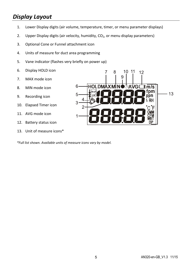# *Display Layout*

- 1. Lower Display digits (air volume, temperature, timer, or menu parameter displays)
- 2. Upper Display digits (air velocity, humidity,  $CO<sub>2</sub>$ , or menu display parameters)
- 3. Optional Cone or Funnel attachment icon
- 4. Units of measure for duct area programming
- 5. Vane indicator (flashes very briefly on power up)
- 6. Display HOLD icon
- 7. MAX mode icon
- 8. MIN mode icon
- 9. Recording icon
- 10. Elapsed Timer icon
- 11. AVG mode icon
- 12. Battery status icon
- 13. Unit of measure icons\*

*\*Full list shown. Available units of measure icons vary by model.* 

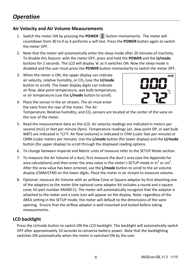# **Air Velocity and Air Volume Measurements**

- 1. Switch the meter ON by pressing the POWER  $\left(\overline{Q}\right)$  button momentarily. The meter will countdown from 30 to 0 as it performs a self‐test. Press the **POWER** button again to switch the meter OFF.
- 2. Note that the meter will automatically enter the sleep mode after 20 minutes of inactivity. To disable this feature: with the meter OFF, press and hold the **POWER** and the **U/mode** buttons for 2 seconds. The LCD will display '**n**' as it switches ON. Now the sleep mode is disabled and the user must press the **POWER** button momentarily to switch the meter OFF.
- 3. When the meter is ON, the upper display can indicate air velocity, relative humidity, or CO<sub>2</sub> (use the **U/mode** button to scroll). The lower display digits can indicate air flow, dew point temperature, wet bulb temperature, or air temperature (use the **L/mode** button to scroll).



- 4. Place the sensor in the air stream. The air must enter the vane from the rear of the meter. The Air Temperature, Relative humidity, and  $CO<sub>2</sub>$  sensors are located at the center of the vane on the rear of the meter.
- 5. Read the measurement data on the LCD. Air velocity readings are indicated in meters per second (m/s) or feet per minute (fpm). Temperature readings (air, dew point DP, or wet bulb WBT) are indicated in °C/°F. Air flow (volume) is indicated in CFM (cubic feet per minute) or CMM (cubic meters per minute). Use the **L/mode** button (for lower display) and the **U/mode** button (for upper display) to scroll through the displayed reading options.
- 6. To change between Imperial and Metric units of measure refer to the SETUP Mode section.
- 7. To measure the Air Volume of a duct, first measure the duct's area (see the Appendix for area calculations) and then enter the area value in the meter's SETUP mode in in<sup>2</sup> or cm<sup>2</sup>. After the area value has been entered, use the **L/mode** button to scroll to the air volume display (CMM/CFM) on the lower digits. Place the meter in air stream to measure volume.
- 8. Optional: measure Air Volume with an airflow Cone or Square adaptor by first attaching one of the adaptors to the meter (the optional cone adaptor kit includes a round and a square cone; kit part number AN300‐C). The meter will automatically recognize that the adaptor is attached to the meter and a cone icon will appear on the display. Note: regardless of the AREA setting in the SETUP mode, the meter will default to the dimensions of the vane opening. Ensure that the airflow adaptor is well mounted and locked before taking measurements.

# **LCD backlight**

Press the U/mode button to switch ON the LCD backlight. The backlight will automatically switch OFF after approximately 10 seconds to conserve battery power. Note that the backlighting switches ON automatically when the meter is switched ON by the user.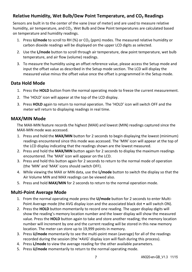# **Relative Humidity, Wet Bulb/Dew Point Temperature, and CO2 Readings**

Sensors are built in to the center of the vane (rear of meter) and are used to measure relative humidity, air temperature, and CO<sub>2</sub>. Wet Bulb and Dew Point temperatures are calculated based on temperature and humidity readings.

- 1. Press **U/mode** to scroll to RH (%) or CO<sub>2</sub> (ppm) modes. The measured relative humidity or carbon dioxide readings will be displayed on the upper LCD digits as selected.
- 2. Use the **L/mode** button to scroll through air temperature, dew point temperature, wet bulb temperature, and air flow (volume) readings.
- 3. To measure the humidity using an offset reference value, please access the Setup mode and input the offset value as described in the Setup mode section. The LCD will display the measured value minus the offset value once the offset is programmed in the Setup mode.

# **Data Hold Mode**

- 1. Press the **HOLD** button from the normal operating mode to freeze the current measurement.
- 2. The 'HOLD' icon will appear at the top of the LCD display.
- 3. Press **HOLD** again to return to normal operation. The 'HOLD' icon will switch OFF and the meter will return to displaying readings in real time.

# **MAX/MIN Mode**

The MAX‐MIN feature records the highest (MAX) and lowest (MIN) readings captured since the MAX‐MIN mode was accessed.

- 1. Press and hold the **MAX/MIN** button for 2 seconds to begin displaying the lowest (minimum) readings encountered since this mode was accessed. The 'MIN' icon will appear at the top of the LCD display indicating that the readings shown are the lowest measured.
- 2. Press and hold the **MAX/MIN** button again for 2 seconds to display the maximum readings encountered. The 'MAX' icon will appear on the LCD.
- 3. Press and hold this button again for 2 seconds to return to the normal mode of operation (the 'MIN' and 'MAX' icons should switch OFF).
- 4. While viewing the MAX or MIN data, use the **L/mode** button to switch the display so that the Air Volume MIN and MAX readings can be viewed also.
- 5. Press and hold **MAX/MIN** for 2 seconds to return to the normal operation mode.

# **Multi‐Point Average Mode**

- 1. From the normal operating mode press the **U/mode** button for 2 seconds to enter Multi‐ Point Average mode (the AVG display icon and the associated black dot • will switch ON).
- 2. Press the **HOLD** button momentarily to record one reading. The upper display digits will show the reading's memory location number and the lower display will show the measured value. Press the **HOLD** button again to take and store another reading; the memory location number will increment by one and the current reading will be stored in this new memory location. The meter can store up to 19,999 points in memory.
- 3. Press **U/mode** momentarily to see the multi‐point mean (average) for all of the readings recorded during the session (the '•AVG' display icon will flash during this process).
- 4. Press **L/mode** to view the average reading for the other available parameters.
- 5. Press **U/mode** momentarily to return to the normal operating mode.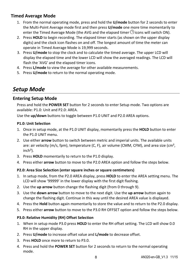# **Timed Average Mode**

- 1. From the normal operating mode, press and hold the **U/mode** button for 2 seconds to enter the Multi‐Point Average mode first and then press **U/mode** one more time momentarily to enter the Timed Average Mode (the AVG and the elapsed timer  $\Theta$  icons will switch ON).
- 2. Press **HOLD** to begin recording. The elapsed timer starts (as shown on the upper display digits) and the clock icon flashes on and off. The longest amount of time the meter can operate in Timed Average Mode is 19,999 seconds.
- 3. Press **U/mode** to stop the clock and to calculate the timed average. The upper LCD will display the elapsed time and the lower LCD will show the averaged readings. The LCD will flash the 'AVG' and the elapsed timer icons.
- 4. Press **L/mode** to view the average for other available measurements.
- 5. Press **U/mode** to return to the normal operating mode.

# *Setup Mode*

# **Entering Setup Mode**

Press and hold the **POWER SET** button for 2 seconds to enter Setup mode. Two options are available: P1.0: Unit and P2.0: AREA.

Use the **up/down** buttons to toggle between P1.0 UNIT and P2.0 AREA options.

#### **P1.0: Unit Selection**

- 1. Once in setup mode, at the P1.0 UNIT display, momentarily press the **HOLD** button to enter the P1.0 UNIT menu.
- 2. Use either **arrow** button to switch between metric and imperial units. The available units are: air velocity (m/s, fpm), temperature (C, F), air volume (CMM, CFM), and area size (cm²,  $inch<sup>2</sup>$ ).
- 3. Press **HOLD** momentarily to return to the P1.0 display.
- 4. Press either **arrow** button to move to the P2.0 AREA option and follow the steps below.

#### **P2.0: Area Size Selection (enter square inches or square centimeters)**

- 1. In setup mode, from the P2.0 AREA display, press **HOLD** to enter the AREA setting menu. The LCD will show '99999' in the lower display with the first digit flashing.
- 2. Use the **up arrow** button change the flashing digit (from 0 through 9).
- 3. Use the **down arrow** button to move to the next digit. Use the **up arrow** button again to change the flashing digit. Continue in this way until the desired AREA value is displayed.
- 4. Press the **Hold** button again momentarily to store the value and to return to the P2.0 display.
- 5. Press either **arrow** button to move to the P3.0 RH OFFSET option and follow the steps below.

#### **P3.0: Relative Humidity (RH) Offset Selection**

- 1. When in setup mode P3.0 press **HOLD** to enter the RH offset setting. The LCD will show 0.0 RH in the upper display.
- 2. Press **U/mode** to increase offset value and **L/mode** to decrease offset.
- 3. Pres **HOLD** once more to return to P3.0.
- 4. Press and hold the **POWER SET** button for 2 seconds to return to the normal operating mode.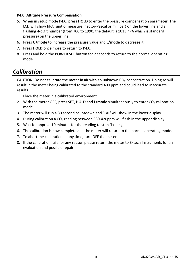#### **P4.0: Altitude Pressure Compensation**

- 5. When in setup mode P4.0, press **HOLD** to enter the pressure compensation parameter. The LCD will show hPA (unit of measure: hector‐Pascal or millibar) on the lower line and a flashing 4‐digit number (from 700 to 1990; the default is 1013 hPA which is standard pressure) on the upper line.
- 6. Press **U/mode** to increase the pressure value and **L/mode** to decrease it.
- 7. Press **HOLD** once more to return to P4.0.
- 8. Press and hold the **POWER SET** button for 2 seconds to return to the normal operating mode.

# *Calibration*

CAUTION: Do not calibrate the meter in air with an unknown  $CO<sub>2</sub>$  concentration. Doing so will result in the meter being calibrated to the standard 400 ppm and could lead to inaccurate results.

- 1. Place the meter in a calibrated environment.
- 2. With the meter OFF, press **SET, HOLD** and L/mode simultaneously to enter CO<sub>2</sub> calibration mode.
- 3. The meter will run a 30 second countdown and 'CAL' will show in the lower display.
- 4. During calibration a  $CO<sub>2</sub>$  reading between 380-420ppm will flash in the upper display.
- 5. Wait for approx. 10 minutes for the reading to stop flashing.
- 6. The calibration is now complete and the meter will return to the normal operating mode.
- 7. To abort the calibration at any time, turn OFF the meter.
- 8. If the calibration fails for any reason please return the meter to Extech Instruments for an evaluation and possible repair.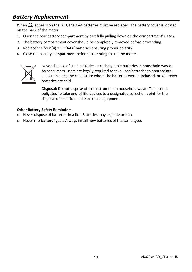# *Battery Replacement*

When  $\mathbb{E}$  appears on the LCD, the AAA batteries must be replaced. The battery cover is located on the back of the meter.

- 1. Open the rear battery compartment by carefully pulling down on the compartment's latch.
- 2. The battery compartment cover should be completely removed before proceeding.
- 3. Replace the four (4) 1.5V 'AAA' batteries ensuring proper polarity.
- 4. Close the battery compartment before attempting to use the meter.



Never dispose of used batteries or rechargeable batteries in household waste. As consumers, users are legally required to take used batteries to appropriate collection sites, the retail store where the batteries were purchased, or wherever batteries are sold.

**Disposal:** Do not dispose of this instrument in household waste. The user is obligated to take end‐of‐life devices to a designated collection point for the disposal of electrical and electronic equipment.

#### **Other Battery Safety Reminders**

- o Never dispose of batteries in a fire. Batteries may explode or leak.
- o Never mix battery types. Always install new batteries of the same type.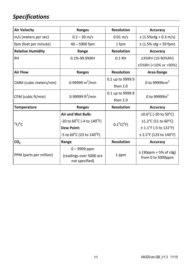# *Specifications*

| <b>Air Velocity</b>               | Ranges                                              |                           | <b>Accuracy</b>                                |  |
|-----------------------------------|-----------------------------------------------------|---------------------------|------------------------------------------------|--|
| m/s (meters per sec)              | $0.2 - 30$ m/s                                      | $0.01 \,\mathrm{m/s}$     | $\pm$ (1.5%rdg + 0.3 m/s)                      |  |
| fpm (feet per minute)             | $40 - 5900$ fpm                                     |                           | $\pm$ (1.5% rdg + 59 fpm)                      |  |
| <b>Relative Humidity</b><br>Range |                                                     | <b>Resolution</b>         | <b>Accuracy</b>                                |  |
| <b>RH</b>                         | 0.1%-99.9%RH                                        | $0.1$ RH                  | ±3%RH (10-90%RH)                               |  |
|                                   |                                                     |                           | ±5%RH (<10% or >90%)                           |  |
| <b>Air Flow</b>                   | Ranges                                              | <b>Resolution</b>         | <b>Area Range</b>                              |  |
| CMM (cubic meters/min)            | 0-99999 $m^3/m$ in                                  | 0.1 up to 9999.9          | 0 to 99999 $cm2$                               |  |
|                                   |                                                     | then $1.0$                |                                                |  |
| CFM (cubic ft/min)                | 0-99999 $ft^3/min$                                  | 0.1 up to 9999.9          | 0 to 99999in <sup>2</sup>                      |  |
|                                   |                                                     | then $1.0$                |                                                |  |
| <b>Temperature</b>                | Ranges                                              | <b>Resolution</b>         | <b>Accuracy</b>                                |  |
| $^{\circ}$ F/ $^{\circ}$ C        | <b>Air and Wet Bulb:</b>                            |                           | $\pm 0.6^{\circ}$ C (-20 to 50 $^{\circ}$ C)   |  |
|                                   | -20 to 60 <sup>o</sup> C (-4 to 140 <sup>o</sup> F) | $0.1^{\circ}C(^{\circ}F)$ | $\pm 1.2^{\circ}$ C (51 to 60 $^{\circ}$ C)    |  |
|                                   | <b>Dew Point:</b>                                   |                           | $± 1.1$ °F (-5 to 122°F)                       |  |
|                                   | -5 to $60^{\circ}$ C (23 to 140 $^{\circ}$ F)       |                           | $\pm$ 2.2°F (123 to 140°F)                     |  |
| CO <sub>2</sub>                   | Range                                               | <b>Resolution</b>         | <b>Accuracy</b>                                |  |
| PPM (parts per million)           | $0 - 9999$ ppm                                      |                           |                                                |  |
|                                   | (readings over 5000 are<br>not specified)           | 1 ppm                     | $\pm$ (30ppm + 5% of rdg)<br>from 0 to 5000ppm |  |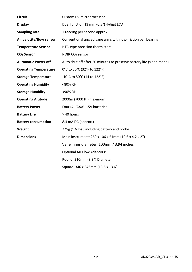| <b>Circuit</b>               | Custom LSI microprocessor                                            |  |  |
|------------------------------|----------------------------------------------------------------------|--|--|
| <b>Display</b>               | Dual function 13 mm (0.5") 4-digit LCD                               |  |  |
| Sampling rate                | 1 reading per second approx.                                         |  |  |
| Air velocity/flow sensor     | Conventional angled vane arms with low-friction ball bearing         |  |  |
| <b>Temperature Sensor</b>    | NTC-type precision thermistors                                       |  |  |
| CO <sub>2</sub> Sensor       | NDIR CO <sub>2</sub> sensor                                          |  |  |
| <b>Automatic Power off</b>   | Auto shut off after 20 minutes to preserve battery life (sleep mode) |  |  |
| <b>Operating Temperature</b> | 0°C to 50°C (32°F to 122°F)                                          |  |  |
| <b>Storage Temperature</b>   | -10°C to 50°C (14 to 122°F)                                          |  |  |
| <b>Operating Humidity</b>    | <80% RH                                                              |  |  |
| <b>Storage Humidity</b>      | <90% RH                                                              |  |  |
| <b>Operating Altitude</b>    | 2000m (7000 ft.) maximum                                             |  |  |
| <b>Battery Power</b>         | Four (4) 'AAA' 1.5V batteries                                        |  |  |
| <b>Battery Life</b>          | > 40 hours                                                           |  |  |
| <b>Battery consumption</b>   | 8.3 mA DC (approx.)                                                  |  |  |
| Weight                       | 725g (1.6 lbs.) including battery and probe                          |  |  |
| <b>Dimensions</b>            | Main instrument: 269 x 106 x 51mm (10.6 x 4.2 x 2")                  |  |  |
|                              | Vane inner diameter: 100mm / 3.94 inches                             |  |  |
|                              | <b>Optional Air Flow Adaptors:</b>                                   |  |  |
|                              | Round: 210mm (8.3") Diameter                                         |  |  |
|                              | Square: 346 x 346mm (13.6 x 13.6")                                   |  |  |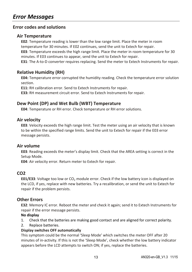# **Error codes and solutions**

### **Air Temperature**

**E02**: Temperature reading is lower than the low range limit. Place the meter in room temperature for 30 minutes. If E02 continues, send the unit to Extech for repair.

**E03**: Temperature exceeds the high range limit. Place the meter in room temperature for 30 minutes. If E03 continues to appear, send the unit to Extech for repair.

**E31**: The A‐to‐D converter requires replacing. Send the meter to Extech Instruments for repair.

### **Relative Humidity (RH)**

**E04:** Temperature error corrupted the humidity reading. Check the temperature error solution section.

**E11:** RH calibration error. Send to Extech Instruments for repair.

**E33:** RH measurement circuit error. Send to Extech Instruments for repair.

### **Dew Point (DP) and Wet Bulb (WBT) Temperature**

**E04**: Temperature or RH error. Check temperature or RH error solutions.

### **Air velocity**

**E03**: Velocity exceeds the high range limit. Test the meter using an air velocity that is known to be within the specified range limits. Send the unit to Extech for repair if the E03 error message persists.

#### **Air volume**

**E03**: Reading exceeds the meter's display limit. Check that the AREA setting is correct in the Setup Mode.

**E04**: Air velocity error. Return meter to Extech for repair.

### **CO2**

**E01/E33:** Voltage too low or  $CO<sub>2</sub>$  module error. Check if the low battery icon is displayed on the LCD, if yes, replace with new batteries. Try a recalibration, or send the unit to Extech for repair if the problem persists.

### **Other Errors**

**E32**: Memory IC error. Reboot the meter and check it again; send it to Extech Instruments for repair if the error message persists.

#### **No display**

- 1. Check that the batteries are making good contact and are aligned for correct polarity.
- 2. Replace batteries.

#### **Display switches OFF automatically**

This symptom could be the normal 'Sleep Mode' which switches the meter OFF after 20 minutes of in‐activity. If this is not the 'Sleep Mode', check whether the low battery indicator appears before the LCD attempts to switch ON; if yes, replace the batteries.